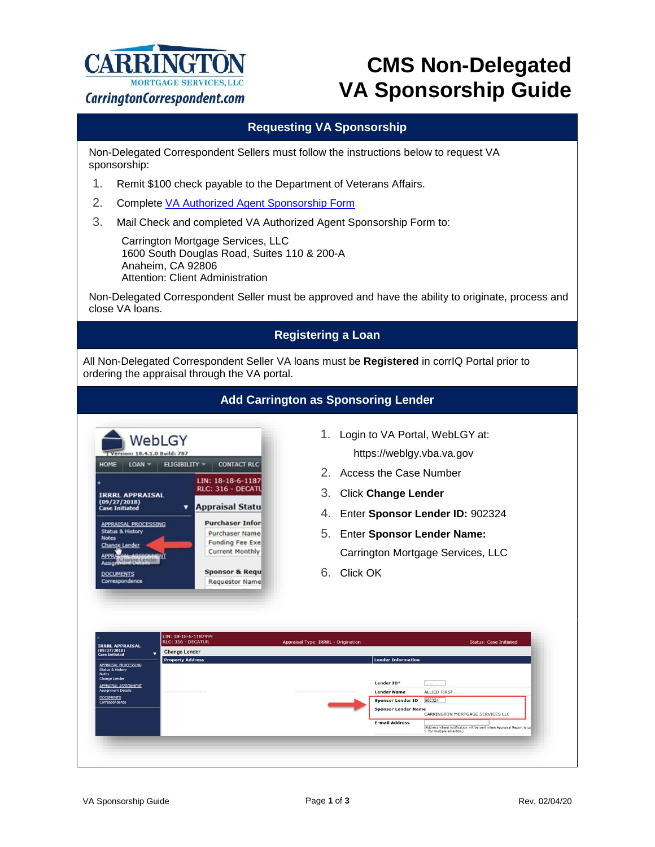

# **CMS Non-Delegated VA Sponsorship Guide**

### **Requesting VA Sponsorship**

Non-Delegated Correspondent Sellers must follow the instructions below to request VA sponsorship:

- 1. Remit \$100 check payable to the Department of Veterans Affairs.
- 2. Complete [VA Authorized Agent Sponsorship Form](https://www.carringtoncorrespondent.com/wp-content/uploads/2019/02/VA-Agent-Authorized-Sponsorship-Form.pdf)
- 3. Mail Check and completed VA Authorized Agent Sponsorship Form to:

Carrington Mortgage Services, LLC 1600 South Douglas Road, Suites 110 & 200-A Anaheim, CA 92806 Attention: Client Administration

Non-Delegated Correspondent Seller must be approved and have the ability to originate, process and close VA loans.

## **Registering a Loan**

All Non-Delegated Correspondent Seller VA loans must be **Registered** in corrIQ Portal prior to ordering the appraisal through the VA portal.

| WebLGY<br>Version: 18.4.1.0 Build: 787<br>HOME<br><b>ELIGIBILITY -</b><br>$LOAN =$<br><b>IRRRL APPRAISAL</b><br>(09/27/2018)<br>▼<br><b>Case Initiated</b><br>APPRAISAL PROCESSING<br><b>Status &amp; History</b><br><b>Notes</b><br><b>Change Lender</b><br>АРРЯ<br>Change Lender<br>Assignif<br><b>DOCUMENTS</b><br>Correspondence | <b>CONTACT RLC</b><br>LIN: 18-18-6-1187<br>RLC: 316 - DECATL<br><b>Appraisal Statu</b><br><b>Purchaser Infor</b><br><b>Purchaser Name</b><br><b>Funding Fee Exe</b><br><b>Current Monthly</b><br><b>Sponsor &amp; Requ</b><br><b>Requestor Name</b> | 1.<br>Login to VA Portal, WebLGY at:<br>https://weblgy.vba.va.gov<br>$2^{\circ}$<br>Access the Case Number<br>3.<br><b>Click Change Lender</b><br>4.<br>5.<br><b>Enter Sponsor Lender Name:</b><br>6.<br>Click OK | Enter Sponsor Lender ID: 902324<br>Carrington Mortgage Services, LLC |
|--------------------------------------------------------------------------------------------------------------------------------------------------------------------------------------------------------------------------------------------------------------------------------------------------------------------------------------|-----------------------------------------------------------------------------------------------------------------------------------------------------------------------------------------------------------------------------------------------------|-------------------------------------------------------------------------------------------------------------------------------------------------------------------------------------------------------------------|----------------------------------------------------------------------|
|                                                                                                                                                                                                                                                                                                                                      |                                                                                                                                                                                                                                                     |                                                                                                                                                                                                                   |                                                                      |
| LIN: 18-18-6-1187999                                                                                                                                                                                                                                                                                                                 |                                                                                                                                                                                                                                                     |                                                                                                                                                                                                                   |                                                                      |
| RLC: 316 - DECATUR<br><b>Change Lender</b><br>٠                                                                                                                                                                                                                                                                                      |                                                                                                                                                                                                                                                     | <b>Appraisal Type: IRRRL - Origination</b>                                                                                                                                                                        | <b>Status: Case Initiated</b>                                        |
| <b>IRRRL APPRAISAL</b><br>(09/27/2018)<br><b>Case Initiated</b><br><b>Property Address</b><br><b>APPRAISAL PROCESSING</b>                                                                                                                                                                                                            |                                                                                                                                                                                                                                                     | <b>Lender Information</b>                                                                                                                                                                                         |                                                                      |
| <b>Status &amp; History</b><br><b>Notes</b><br><b>Change Lender</b>                                                                                                                                                                                                                                                                  |                                                                                                                                                                                                                                                     |                                                                                                                                                                                                                   |                                                                      |
|                                                                                                                                                                                                                                                                                                                                      |                                                                                                                                                                                                                                                     | Lender ID*                                                                                                                                                                                                        |                                                                      |
|                                                                                                                                                                                                                                                                                                                                      |                                                                                                                                                                                                                                                     | <b>Lender Name</b><br><b>Sponsor Lender ID</b>                                                                                                                                                                    | ALLIED FIRST<br>902324                                               |
| APPRAISAL ASSIGNMENT<br><b>Assignment Details</b><br><b>DOCUMENTS</b><br>Correspondence                                                                                                                                                                                                                                              |                                                                                                                                                                                                                                                     | <b>Sponsor Lender Name</b>                                                                                                                                                                                        | <b>CARRINGTON MORTGAGE SERVICES LLC</b>                              |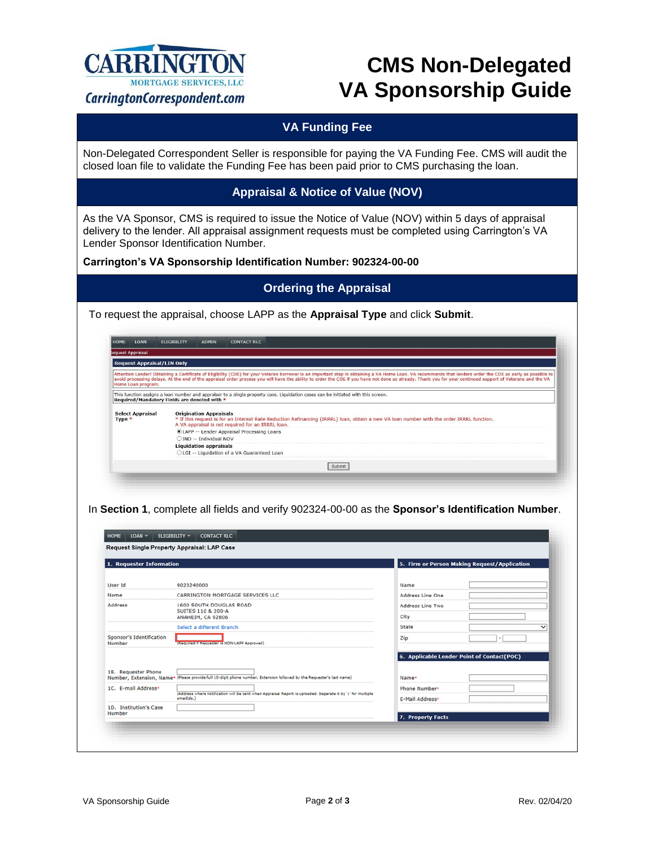

# **CMS Non-Delegated VA Sponsorship Guide**

## **VA Funding Fee**

Non-Delegated Correspondent Seller is responsible for paying the VA Funding Fee. CMS will audit the closed loan file to validate the Funding Fee has been paid prior to CMS purchasing the loan.

#### **Appraisal & Notice of Value (NOV)**

As the VA Sponsor, CMS is required to issue the Notice of Value (NOV) within 5 days of appraisal delivery to the lender. All appraisal assignment requests must be completed using Carrington's VA Lender Sponsor Identification Number.

**Carrington's VA Sponsorship Identification Number: 902324-00-00**

#### **Ordering the Appraisal**

To request the appraisal, choose LAPP as the **Appraisal Type** and click **Submit**.

| <b>НОМЕ</b><br>LOAN                                                | <b>FLIGIBILITY</b> | <b>ADMIN</b>                  | <b>CONTACT RLC</b>                                                                                                                                                                                                                                                                                                                                                                                                        |
|--------------------------------------------------------------------|--------------------|-------------------------------|---------------------------------------------------------------------------------------------------------------------------------------------------------------------------------------------------------------------------------------------------------------------------------------------------------------------------------------------------------------------------------------------------------------------------|
| equest Appraisal                                                   |                    |                               |                                                                                                                                                                                                                                                                                                                                                                                                                           |
| <b>Request Appraisal/LIN Only</b>                                  |                    |                               |                                                                                                                                                                                                                                                                                                                                                                                                                           |
|                                                                    |                    |                               | Attention Lender! Obtaining a Certificate of Eligibility (COE) for your Veteran borrower is an important step in obtaining a VA Home Loan. VA recommends that lenders order the COE as early as possible to<br>avoid processing delays. At the end of the appraisal order process you will have the ability to order the COE if you have not done so already. Thank you for your continued support of Veterans and the VA |
|                                                                    |                    |                               |                                                                                                                                                                                                                                                                                                                                                                                                                           |
| Home Loan program.<br>Required/Mandatory Fields are denoted with * |                    |                               | This function assigns a loan number and appraiser to a single property case. Liquidation cases can be initiated with this screen.                                                                                                                                                                                                                                                                                         |
| <b>Select Appraisal</b><br>Type $*$                                |                    | <b>Origination Appraisals</b> | * If this request is for an Interest Rate Reduction Refinancing (IRRRL) loan, obtain a new VA loan number with the order IRRRL function.<br>A VA appraisal is not required for an IRRRL loan.                                                                                                                                                                                                                             |
|                                                                    |                    |                               | CLAPP -- Lender Appraisal Processing Loans                                                                                                                                                                                                                                                                                                                                                                                |
|                                                                    |                    | OIND -- Individual NOV        |                                                                                                                                                                                                                                                                                                                                                                                                                           |
|                                                                    |                    | <b>Liquidation appraisals</b> |                                                                                                                                                                                                                                                                                                                                                                                                                           |

In **Section 1**, complete all fields and verify 902324-00-00 as the **Sponsor's Identification Number**.

| 1. Requester Information           |                                                                                                                           | 5. Firm or Person Making Request/Application        |  |
|------------------------------------|---------------------------------------------------------------------------------------------------------------------------|-----------------------------------------------------|--|
| User Id                            | 9023240000                                                                                                                | Name                                                |  |
| Name                               | <b>CARRINGTON MORTGAGE SERVICES LLC</b>                                                                                   | <b>Address Line One</b>                             |  |
| <b>Address</b>                     | 1600 SOUTH DOUGLAS ROAD<br><b>SUITES 110 &amp; 200-A</b><br>ANAHEIM, CA 92806                                             | <b>Address Line Two</b>                             |  |
|                                    |                                                                                                                           | City                                                |  |
|                                    | Select a different Branch                                                                                                 | <b>State</b><br>◡                                   |  |
| Sponsor's Identification<br>Number | (Required if Requester is NON-LAPP Approved)                                                                              | Zip                                                 |  |
| 1B. Requester Phone                | Number, Extension, Name+ (Please provide full 10-digit phone number, Extension followed by the Requester's last name)     | 6. Applicable Lender Point of Contact(POC)<br>Name* |  |
| 1C. E-mail Address*                |                                                                                                                           | Phone Number*                                       |  |
|                                    | (Address where notification will be sent when Appraisal Report is uploaded. Separate it by 's' for multiple<br>email[ds.] | <b>E-Mail Address*</b>                              |  |
| 1D. Institution's Case             |                                                                                                                           |                                                     |  |
| Number                             |                                                                                                                           | 7. Property Facts                                   |  |